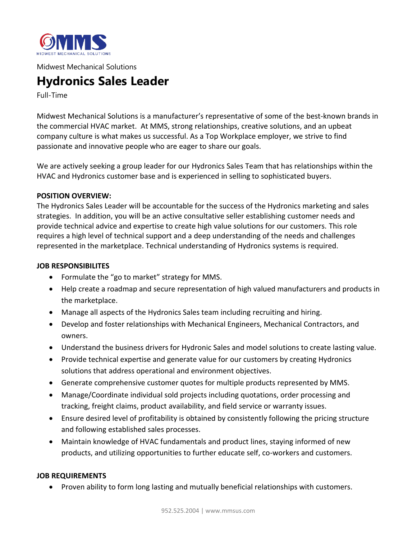

Midwest Mechanical Solutions

# **Hydronics Sales Leader**

Full-Time

Midwest Mechanical Solutions is a manufacturer's representative of some of the best-known brands in the commercial HVAC market. At MMS, strong relationships, creative solutions, and an upbeat company culture is what makes us successful. As a Top Workplace employer, we strive to find passionate and innovative people who are eager to share our goals.

We are actively seeking a group leader for our Hydronics Sales Team that has relationships within the HVAC and Hydronics customer base and is experienced in selling to sophisticated buyers.

#### **POSITION OVERVIEW:**

The Hydronics Sales Leader will be accountable for the success of the Hydronics marketing and sales strategies. In addition, you will be an active consultative seller establishing customer needs and provide technical advice and expertise to create high value solutions for our customers. This role requires a high level of technical support and a deep understanding of the needs and challenges represented in the marketplace. Technical understanding of Hydronics systems is required.

#### **JOB RESPONSIBILITES**

- Formulate the "go to market" strategy for MMS.
- Help create a roadmap and secure representation of high valued manufacturers and products in the marketplace.
- Manage all aspects of the Hydronics Sales team including recruiting and hiring.
- Develop and foster relationships with Mechanical Engineers, Mechanical Contractors, and owners.
- Understand the business drivers for Hydronic Sales and model solutions to create lasting value.
- Provide technical expertise and generate value for our customers by creating Hydronics solutions that address operational and environment objectives.
- Generate comprehensive customer quotes for multiple products represented by MMS.
- Manage/Coordinate individual sold projects including quotations, order processing and tracking, freight claims, product availability, and field service or warranty issues.
- Ensure desired level of profitability is obtained by consistently following the pricing structure and following established sales processes.
- Maintain knowledge of HVAC fundamentals and product lines, staying informed of new products, and utilizing opportunities to further educate self, co-workers and customers.

### **JOB REQUIREMENTS**

• Proven ability to form long lasting and mutually beneficial relationships with customers.